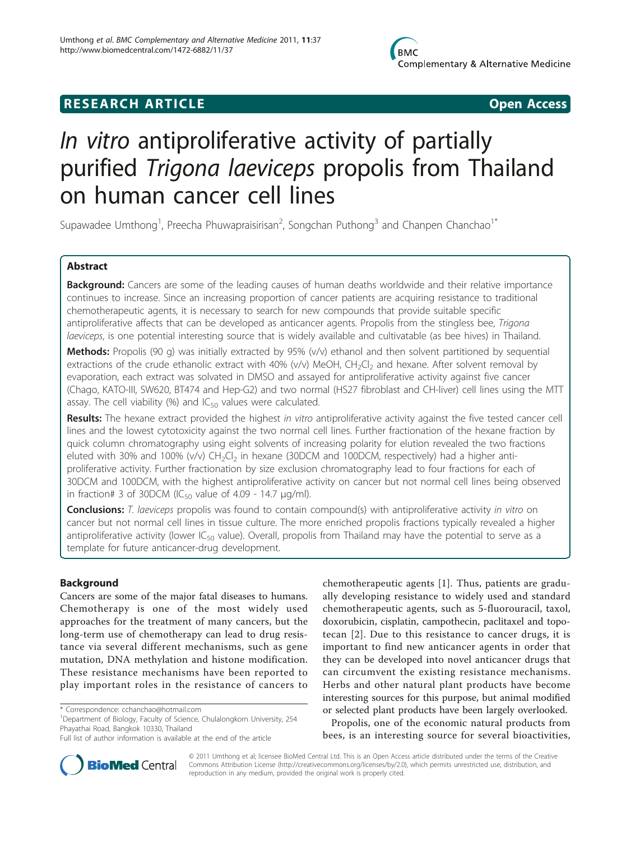## **RESEARCH ARTICLE Example 2018 Open Access**



# In vitro antiproliferative activity of partially purified Trigona laeviceps propolis from Thailand on human cancer cell lines

Supawadee Umthong<sup>1</sup>, Preecha Phuwapraisirisan<sup>2</sup>, Songchan Puthong<sup>3</sup> and Chanpen Chanchao<sup>1\*</sup>

### Abstract

**Background:** Cancers are some of the leading causes of human deaths worldwide and their relative importance continues to increase. Since an increasing proportion of cancer patients are acquiring resistance to traditional chemotherapeutic agents, it is necessary to search for new compounds that provide suitable specific antiproliferative affects that can be developed as anticancer agents. Propolis from the stingless bee, Trigona laeviceps, is one potential interesting source that is widely available and cultivatable (as bee hives) in Thailand.

Methods: Propolis (90 g) was initially extracted by 95%  $(v/v)$  ethanol and then solvent partitioned by sequential extractions of the crude ethanolic extract with 40% ( $v/v$ ) MeOH, CH<sub>2</sub>Cl<sub>2</sub> and hexane. After solvent removal by evaporation, each extract was solvated in DMSO and assayed for antiproliferative activity against five cancer (Chago, KATO-III, SW620, BT474 and Hep-G2) and two normal (HS27 fibroblast and CH-liver) cell lines using the MTT assay. The cell viability (%) and  $IC_{50}$  values were calculated.

Results: The hexane extract provided the highest in vitro antiproliferative activity against the five tested cancer cell lines and the lowest cytotoxicity against the two normal cell lines. Further fractionation of the hexane fraction by quick column chromatography using eight solvents of increasing polarity for elution revealed the two fractions eluted with 30% and 100% (v/v)  $CH_2Cl_2$  in hexane (30DCM and 100DCM, respectively) had a higher antiproliferative activity. Further fractionation by size exclusion chromatography lead to four fractions for each of 30DCM and 100DCM, with the highest antiproliferative activity on cancer but not normal cell lines being observed in fraction# 3 of 30DCM (IC $_{50}$  value of 4.09 - 14.7  $\mu$ g/ml).

Conclusions: T. laeviceps propolis was found to contain compound(s) with antiproliferative activity in vitro on cancer but not normal cell lines in tissue culture. The more enriched propolis fractions typically revealed a higher antiproliferative activity (lower  $IC_{50}$  value). Overall, propolis from Thailand may have the potential to serve as a template for future anticancer-drug development.

### Background

Cancers are some of the major fatal diseases to humans. Chemotherapy is one of the most widely used approaches for the treatment of many cancers, but the long-term use of chemotherapy can lead to drug resistance via several different mechanisms, such as gene mutation, DNA methylation and histone modification. These resistance mechanisms have been reported to play important roles in the resistance of cancers to

<sup>1</sup>Department of Biology, Faculty of Science, Chulalongkorn University, 254 Phayathai Road, Bangkok 10330, Thailand

chemotherapeutic agents [[1\]](#page-6-0). Thus, patients are gradually developing resistance to widely used and standard chemotherapeutic agents, such as 5-fluorouracil, taxol, doxorubicin, cisplatin, campothecin, paclitaxel and topotecan [[2\]](#page-6-0). Due to this resistance to cancer drugs, it is important to find new anticancer agents in order that they can be developed into novel anticancer drugs that can circumvent the existing resistance mechanisms. Herbs and other natural plant products have become interesting sources for this purpose, but animal modified or selected plant products have been largely overlooked.

Propolis, one of the economic natural products from bees, is an interesting source for several bioactivities,



© 2011 Umthong et al; licensee BioMed Central Ltd. This is an Open Access article distributed under the terms of the Creative Commons Attribution License [\(http://creativecommons.org/licenses/by/2.0](http://creativecommons.org/licenses/by/2.0)), which permits unrestricted use, distribution, and reproduction in any medium, provided the original work is properly cited.

<sup>\*</sup> Correspondence: [cchanchao@hotmail.com](mailto:cchanchao@hotmail.com)

Full list of author information is available at the end of the article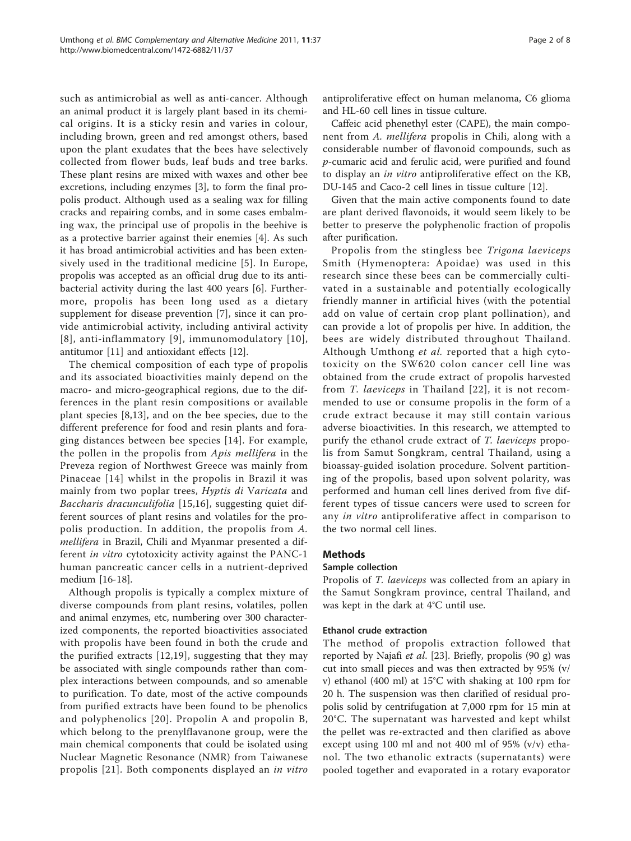such as antimicrobial as well as anti-cancer. Although an animal product it is largely plant based in its chemical origins. It is a sticky resin and varies in colour, including brown, green and red amongst others, based upon the plant exudates that the bees have selectively collected from flower buds, leaf buds and tree barks. These plant resins are mixed with waxes and other bee excretions, including enzymes [\[3\]](#page-6-0), to form the final propolis product. Although used as a sealing wax for filling cracks and repairing combs, and in some cases embalming wax, the principal use of propolis in the beehive is as a protective barrier against their enemies [\[4](#page-6-0)]. As such it has broad antimicrobial activities and has been extensively used in the traditional medicine [[5\]](#page-6-0). In Europe, propolis was accepted as an official drug due to its antibacterial activity during the last 400 years [\[6](#page-6-0)]. Furthermore, propolis has been long used as a dietary supplement for disease prevention [\[7](#page-6-0)], since it can provide antimicrobial activity, including antiviral activity [[8\]](#page-6-0), anti-inflammatory [[9\]](#page-6-0), immunomodulatory [[10\]](#page-6-0), antitumor [[11\]](#page-6-0) and antioxidant effects [[12](#page-6-0)].

The chemical composition of each type of propolis and its associated bioactivities mainly depend on the macro- and micro-geographical regions, due to the differences in the plant resin compositions or available plant species [[8,](#page-6-0)[13](#page-7-0)], and on the bee species, due to the different preference for food and resin plants and foraging distances between bee species [[14](#page-7-0)]. For example, the pollen in the propolis from Apis mellifera in the Preveza region of Northwest Greece was mainly from Pinaceae [[14\]](#page-7-0) whilst in the propolis in Brazil it was mainly from two poplar trees, Hyptis di Varicata and Baccharis dracunculifolia [[15,16](#page-7-0)], suggesting quiet different sources of plant resins and volatiles for the propolis production. In addition, the propolis from A. mellifera in Brazil, Chili and Myanmar presented a different in vitro cytotoxicity activity against the PANC-1 human pancreatic cancer cells in a nutrient-deprived medium [[16-18\]](#page-7-0).

Although propolis is typically a complex mixture of diverse compounds from plant resins, volatiles, pollen and animal enzymes, etc, numbering over 300 characterized components, the reported bioactivities associated with propolis have been found in both the crude and the purified extracts [[12](#page-6-0),[19\]](#page-7-0), suggesting that they may be associated with single compounds rather than complex interactions between compounds, and so amenable to purification. To date, most of the active compounds from purified extracts have been found to be phenolics and polyphenolics [[20\]](#page-7-0). Propolin A and propolin B, which belong to the prenylflavanone group, were the main chemical components that could be isolated using Nuclear Magnetic Resonance (NMR) from Taiwanese propolis [\[21\]](#page-7-0). Both components displayed an in vitro antiproliferative effect on human melanoma, C6 glioma and HL-60 cell lines in tissue culture.

Caffeic acid phenethyl ester (CAPE), the main component from A. mellifera propolis in Chili, along with a considerable number of flavonoid compounds, such as p-cumaric acid and ferulic acid, were purified and found to display an in vitro antiproliferative effect on the KB, DU-145 and Caco-2 cell lines in tissue culture [\[12\]](#page-6-0).

Given that the main active components found to date are plant derived flavonoids, it would seem likely to be better to preserve the polyphenolic fraction of propolis after purification.

Propolis from the stingless bee Trigona laeviceps Smith (Hymenoptera: Apoidae) was used in this research since these bees can be commercially cultivated in a sustainable and potentially ecologically friendly manner in artificial hives (with the potential add on value of certain crop plant pollination), and can provide a lot of propolis per hive. In addition, the bees are widely distributed throughout Thailand. Although Umthong et al. reported that a high cytotoxicity on the SW620 colon cancer cell line was obtained from the crude extract of propolis harvested from T. laeviceps in Thailand [[22\]](#page-7-0), it is not recommended to use or consume propolis in the form of a crude extract because it may still contain various adverse bioactivities. In this research, we attempted to purify the ethanol crude extract of T. laeviceps propolis from Samut Songkram, central Thailand, using a bioassay-guided isolation procedure. Solvent partitioning of the propolis, based upon solvent polarity, was performed and human cell lines derived from five different types of tissue cancers were used to screen for any in vitro antiproliferative affect in comparison to the two normal cell lines.

#### Methods

#### Sample collection

Propolis of T. laeviceps was collected from an apiary in the Samut Songkram province, central Thailand, and was kept in the dark at 4°C until use.

#### Ethanol crude extraction

The method of propolis extraction followed that reported by Najafi et al. [[23\]](#page-7-0). Briefly, propolis (90 g) was cut into small pieces and was then extracted by 95% (v/ v) ethanol (400 ml) at 15°C with shaking at 100 rpm for 20 h. The suspension was then clarified of residual propolis solid by centrifugation at 7,000 rpm for 15 min at 20°C. The supernatant was harvested and kept whilst the pellet was re-extracted and then clarified as above except using 100 ml and not 400 ml of 95%  $(v/v)$  ethanol. The two ethanolic extracts (supernatants) were pooled together and evaporated in a rotary evaporator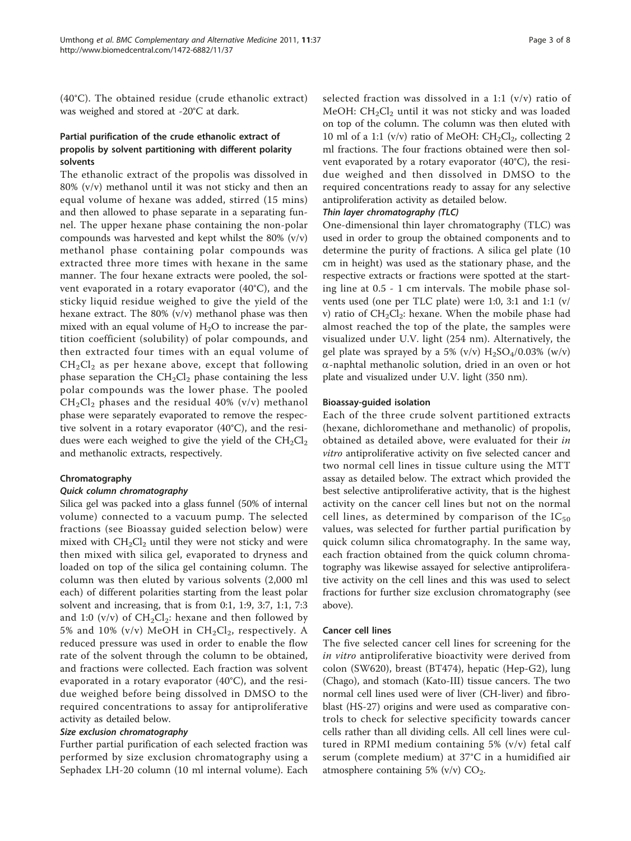(40°C). The obtained residue (crude ethanolic extract) was weighed and stored at -20°C at dark.

### Partial purification of the crude ethanolic extract of propolis by solvent partitioning with different polarity solvents

The ethanolic extract of the propolis was dissolved in 80% (v/v) methanol until it was not sticky and then an equal volume of hexane was added, stirred (15 mins) and then allowed to phase separate in a separating funnel. The upper hexane phase containing the non-polar compounds was harvested and kept whilst the 80% (v/v) methanol phase containing polar compounds was extracted three more times with hexane in the same manner. The four hexane extracts were pooled, the solvent evaporated in a rotary evaporator (40°C), and the sticky liquid residue weighed to give the yield of the hexane extract. The 80% (v/v) methanol phase was then mixed with an equal volume of  $H_2O$  to increase the partition coefficient (solubility) of polar compounds, and then extracted four times with an equal volume of  $CH<sub>2</sub>Cl<sub>2</sub>$  as per hexane above, except that following phase separation the  $CH_2Cl_2$  phase containing the less polar compounds was the lower phase. The pooled  $CH<sub>2</sub>Cl<sub>2</sub>$  phases and the residual 40% (v/v) methanol phase were separately evaporated to remove the respective solvent in a rotary evaporator (40°C), and the residues were each weighed to give the yield of the  $CH_2Cl_2$ and methanolic extracts, respectively.

#### Chromatography

Silica gel was packed into a glass funnel (50% of internal volume) connected to a vacuum pump. The selected fractions (see Bioassay guided selection below) were mixed with  $CH_2Cl_2$  until they were not sticky and were then mixed with silica gel, evaporated to dryness and loaded on top of the silica gel containing column. The column was then eluted by various solvents (2,000 ml each) of different polarities starting from the least polar solvent and increasing, that is from 0:1, 1:9, 3:7, 1:1, 7:3 and 1:0 (v/v) of  $CH_2Cl_2$ : hexane and then followed by 5% and 10% (v/v) MeOH in  $CH_2Cl_2$ , respectively. A reduced pressure was used in order to enable the flow rate of the solvent through the column to be obtained, and fractions were collected. Each fraction was solvent evaporated in a rotary evaporator (40°C), and the residue weighed before being dissolved in DMSO to the required concentrations to assay for antiproliferative activity as detailed below.

Size exclusion chromatography Further partial purification of each selected fraction was performed by size exclusion chromatography using a Sephadex LH-20 column (10 ml internal volume). Each selected fraction was dissolved in a 1:1 (v/v) ratio of MeOH:  $CH<sub>2</sub>Cl<sub>2</sub>$  until it was not sticky and was loaded on top of the column. The column was then eluted with 10 ml of a 1:1 (v/v) ratio of MeOH:  $CH_2Cl_2$ , collecting 2 ml fractions. The four fractions obtained were then solvent evaporated by a rotary evaporator (40°C), the residue weighed and then dissolved in DMSO to the required concentrations ready to assay for any selective antiproliferation activity as detailed below.

One-dimensional thin layer chromatography (TLC) was used in order to group the obtained components and to determine the purity of fractions. A silica gel plate (10 cm in height) was used as the stationary phase, and the respective extracts or fractions were spotted at the starting line at 0.5 - 1 cm intervals. The mobile phase solvents used (one per TLC plate) were 1:0, 3:1 and 1:1 (v/ v) ratio of  $CH_2Cl_2$ : hexane. When the mobile phase had almost reached the top of the plate, the samples were visualized under U.V. light (254 nm). Alternatively, the gel plate was sprayed by a 5% (v/v)  $H<sub>2</sub>SO<sub>4</sub>/0.03%$  (w/v) a-naphtal methanolic solution, dried in an oven or hot plate and visualized under U.V. light (350 nm).

#### Bioassay-guided isolation

Each of the three crude solvent partitioned extracts (hexane, dichloromethane and methanolic) of propolis, obtained as detailed above, were evaluated for their in vitro antiproliferative activity on five selected cancer and two normal cell lines in tissue culture using the MTT assay as detailed below. The extract which provided the best selective antiproliferative activity, that is the highest activity on the cancer cell lines but not on the normal cell lines, as determined by comparison of the  $IC_{50}$ values, was selected for further partial purification by quick column silica chromatography. In the same way, each fraction obtained from the quick column chromatography was likewise assayed for selective antiproliferative activity on the cell lines and this was used to select fractions for further size exclusion chromatography (see above).

#### Cancer cell lines

The five selected cancer cell lines for screening for the in vitro antiproliferative bioactivity were derived from colon (SW620), breast (BT474), hepatic (Hep-G2), lung (Chago), and stomach (Kato-III) tissue cancers. The two normal cell lines used were of liver (CH-liver) and fibroblast (HS-27) origins and were used as comparative controls to check for selective specificity towards cancer cells rather than all dividing cells. All cell lines were cultured in RPMI medium containing 5% (v/v) fetal calf serum (complete medium) at 37°C in a humidified air atmosphere containing 5% (v/v)  $CO<sub>2</sub>$ .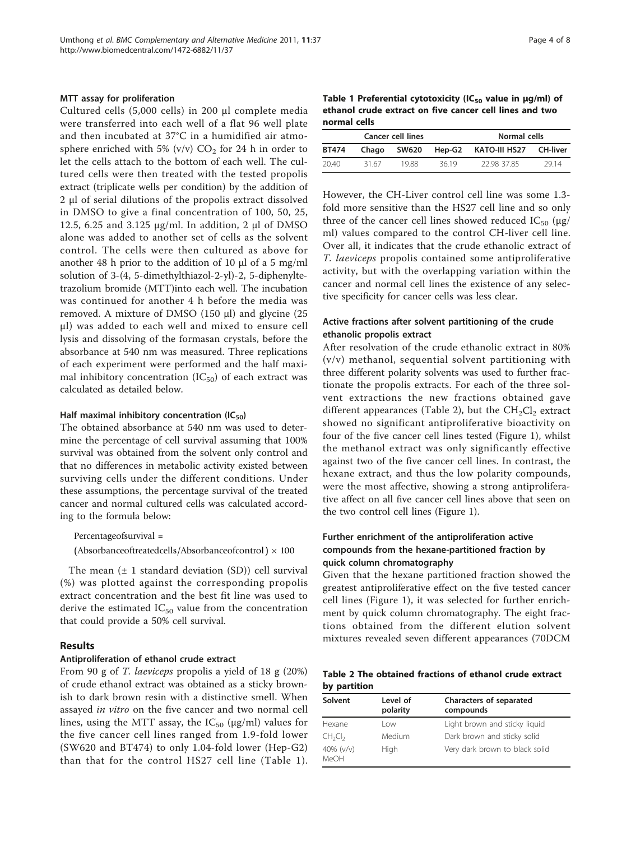#### <span id="page-3-0"></span>MTT assay for proliferation

Cultured cells (5,000 cells) in 200 μl complete media were transferred into each well of a flat 96 well plate and then incubated at 37°C in a humidified air atmosphere enriched with 5% (v/v)  $CO<sub>2</sub>$  for 24 h in order to let the cells attach to the bottom of each well. The cultured cells were then treated with the tested propolis extract (triplicate wells per condition) by the addition of 2 μl of serial dilutions of the propolis extract dissolved in DMSO to give a final concentration of 100, 50, 25, 12.5, 6.25 and 3.125 μg/ml. In addition, 2 μl of DMSO alone was added to another set of cells as the solvent control. The cells were then cultured as above for another 48 h prior to the addition of 10 μl of a 5 mg/ml solution of 3-(4, 5-dimethylthiazol-2-yl)-2, 5-diphenyltetrazolium bromide (MTT)into each well. The incubation was continued for another 4 h before the media was removed. A mixture of DMSO (150 μl) and glycine (25 μl) was added to each well and mixed to ensure cell lysis and dissolving of the formasan crystals, before the absorbance at 540 nm was measured. Three replications of each experiment were performed and the half maximal inhibitory concentration  $(IC_{50})$  of each extract was calculated as detailed below.

#### Half maximal inhibitory concentration  $(IC_{50})$

The obtained absorbance at 540 nm was used to determine the percentage of cell survival assuming that 100% survival was obtained from the solvent only control and that no differences in metabolic activity existed between surviving cells under the different conditions. Under these assumptions, the percentage survival of the treated cancer and normal cultured cells was calculated according to the formula below:

Percentageofsurvival =

(Absorbanceoftreatedcells/Absorbanceofcontrol)  $\times$  100

The mean  $(\pm 1)$  standard deviation (SD)) cell survival (%) was plotted against the corresponding propolis extract concentration and the best fit line was used to derive the estimated  $IC_{50}$  value from the concentration that could provide a 50% cell survival.

#### Results

#### Antiproliferation of ethanol crude extract

From 90 g of T. laeviceps propolis a yield of 18 g (20%) of crude ethanol extract was obtained as a sticky brownish to dark brown resin with a distinctive smell. When assayed in vitro on the five cancer and two normal cell lines, using the MTT assay, the  $IC_{50}$  ( $\mu$ g/ml) values for the five cancer cell lines ranged from 1.9-fold lower (SW620 and BT474) to only 1.04-fold lower (Hep-G2) than that for the control HS27 cell line (Table 1).

Table 1 Preferential cytotoxicity (IC<sub>50</sub> value in  $\mu$ g/ml) of ethanol crude extract on five cancer cell lines and two normal cells

| <b>Cancer cell lines</b> |       |              |        | Normal cells  |                 |  |
|--------------------------|-------|--------------|--------|---------------|-----------------|--|
| <b>BT474</b>             | Chago | <b>SW620</b> | Hep-G2 | KATO-III HS27 | <b>CH-liver</b> |  |
| 20.40                    | 31.67 | 1988         | 3619   | 22.98 37.85   | 2914            |  |

However, the CH-Liver control cell line was some 1.3 fold more sensitive than the HS27 cell line and so only three of the cancer cell lines showed reduced  $IC_{50}$  ( $\mu$ g/ ml) values compared to the control CH-liver cell line. Over all, it indicates that the crude ethanolic extract of T. laeviceps propolis contained some antiproliferative activity, but with the overlapping variation within the cancer and normal cell lines the existence of any selective specificity for cancer cells was less clear.

#### Active fractions after solvent partitioning of the crude ethanolic propolis extract

After resolvation of the crude ethanolic extract in 80% (v/v) methanol, sequential solvent partitioning with three different polarity solvents was used to further fractionate the propolis extracts. For each of the three solvent extractions the new fractions obtained gave different appearances (Table 2), but the  $CH<sub>2</sub>Cl<sub>2</sub>$  extract showed no significant antiproliferative bioactivity on four of the five cancer cell lines tested (Figure [1](#page-4-0)), whilst the methanol extract was only significantly effective against two of the five cancer cell lines. In contrast, the hexane extract, and thus the low polarity compounds, were the most affective, showing a strong antiproliferative affect on all five cancer cell lines above that seen on the two control cell lines (Figure [1](#page-4-0)).

### Further enrichment of the antiproliferation active compounds from the hexane-partitioned fraction by quick column chromatography

Given that the hexane partitioned fraction showed the greatest antiproliferative effect on the five tested cancer cell lines (Figure [1\)](#page-4-0), it was selected for further enrichment by quick column chromatography. The eight fractions obtained from the different elution solvent mixtures revealed seven different appearances (70DCM

Table 2 The obtained fractions of ethanol crude extract by partition

| Solvent                         | Level of<br>polarity | Characters of separated<br>compounds |  |  |  |
|---------------------------------|----------------------|--------------------------------------|--|--|--|
| Hexane                          | Low                  | Light brown and sticky liguid        |  |  |  |
| CH <sub>2</sub> Cl <sub>2</sub> | Medium               | Dark brown and sticky solid          |  |  |  |
| 40% (v/v)<br>MeOH               | High                 | Very dark brown to black solid       |  |  |  |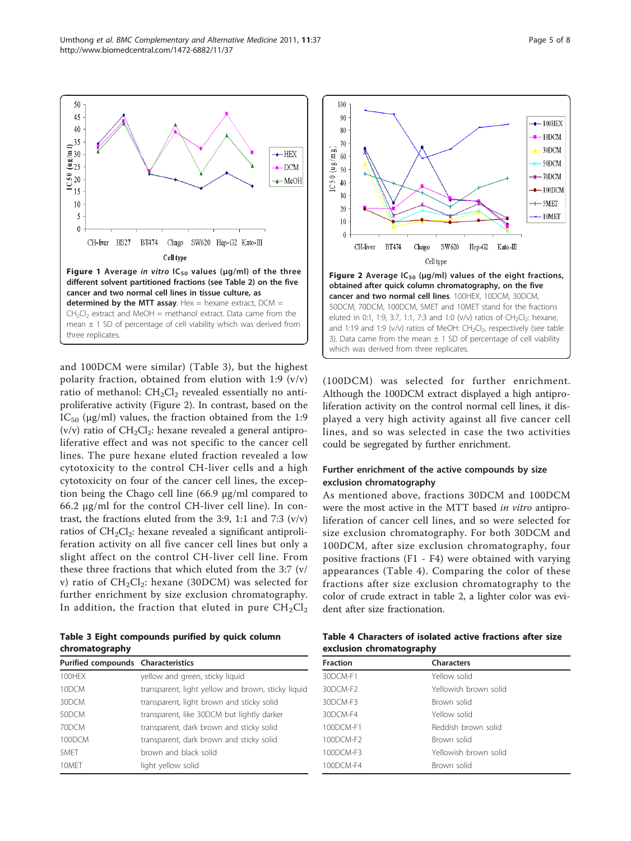and 100DCM were similar) (Table 3), but the highest polarity fraction, obtained from elution with 1:9  $(v/v)$ ratio of methanol:  $CH<sub>2</sub>Cl<sub>2</sub>$  revealed essentially no antiproliferative activity (Figure 2). In contrast, based on the IC<sub>50</sub> ( $\mu$ g/ml) values, the fraction obtained from the 1:9 (v/v) ratio of  $CH_2Cl_2$ : hexane revealed a general antiproliferative effect and was not specific to the cancer cell lines. The pure hexane eluted fraction revealed a low cytotoxicity to the control CH-liver cells and a high cytotoxicity on four of the cancer cell lines, the exception being the Chago cell line (66.9 μg/ml compared to 66.2 μg/ml for the control CH-liver cell line). In contrast, the fractions eluted from the 3:9, 1:1 and 7:3 (v/v) ratios of  $CH<sub>2</sub>Cl<sub>2</sub>$ : hexane revealed a significant antiproliferation activity on all five cancer cell lines but only a slight affect on the control CH-liver cell line. From these three fractions that which eluted from the 3:7 (v/ v) ratio of  $CH_2Cl_2$ : hexane (30DCM) was selected for further enrichment by size exclusion chromatography. In addition, the fraction that eluted in pure  $CH_2Cl_2$ 

Figure 1 Average in vitro  $IC_{50}$  values ( $\mu$ g/ml) of the three different solvent partitioned fractions (see Table 2) on the five

SW620 Hep-G2 Kato-III

Chago

Cell type

cancer and two normal cell lines in tissue culture, as determined by the MTT assay. Hex  $=$  hexane extract, DCM  $=$  $CH<sub>2</sub>Cl<sub>2</sub>$  extract and MeOH = methanol extract. Data came from the mean  $\pm$  1 SD of percentage of cell viability which was derived from

BT474

three replicates.

50

45

 $40$ 

 $=$ <sup>35</sup>

 $\frac{1}{2}$  30<br> $\frac{1}{2}$  25

 $\overline{5}$  20

 $15$ 

 $10$ 

5

 $\overline{0}$ 

CH-liver HS27

Table 3 Eight compounds purified by quick column chromatography Purified compounds Characteristics

| Purified compounds Characteristics |                                                    |
|------------------------------------|----------------------------------------------------|
| 100HEX                             | yellow and green, sticky liquid                    |
| 10DCM                              | transparent, light yellow and brown, sticky liquid |
| 30DCM                              | transparent, light brown and sticky solid          |
| 50DCM                              | transparent, like 30DCM but lightly darker         |
| 70DCM                              | transparent, dark brown and sticky solid           |
| 100DCM                             | transparent, dark brown and sticky solid           |
| 5MFT                               | brown and black solid                              |
| 10MET                              | light yellow solid                                 |

 $\left[ \begin{matrix} a \\ b \end{matrix} \right]$ 60 50DCM (ug∖  $50$  $IC501$  $*$  70DCM 40  $-100$ DCM  $30$  $+$  5MET  $20$ 10MET  $10$  $\theta$ CH-liver **BT474** SW620 Hep-G2 Кato-Ш Chago Cell tyne Figure 2 Average  $IC_{50}$  (µg/ml) values of the eight fractions, obtained after quick column chromatography, on the five cancer and two normal cell lines. 100HEX, 10DCM, 30DCM, 50DCM, 70DCM, 100DCM, 5MET and 10MET stand for the fractions eluted in 0:1, 1:9, 3:7, 1:1, 7:3 and 1:0 (v/v) ratios of CH<sub>2</sub>Cl<sub>2</sub>: hexane, and 1:19 and 1:9 (v/v) ratios of MeOH:  $CH_2Cl_2$ , respectively (see table 3). Data came from the mean  $\pm$  1 SD of percentage of cell viability which was derived from three replicates.

100

90

80

 $\overline{\mathcal{U}}$ 

 $+$ HEX

 $-DCM$ 

 $\triangle$  MeOH

(100DCM) was selected for further enrichment. Although the 100DCM extract displayed a high antiproliferation activity on the control normal cell lines, it displayed a very high activity against all five cancer cell lines, and so was selected in case the two activities could be segregated by further enrichment.

#### Further enrichment of the active compounds by size exclusion chromatography

As mentioned above, fractions 30DCM and 100DCM were the most active in the MTT based in vitro antiproliferation of cancer cell lines, and so were selected for size exclusion chromatography. For both 30DCM and 100DCM, after size exclusion chromatography, four positive fractions (F1 - F4) were obtained with varying appearances (Table 4). Comparing the color of these fractions after size exclusion chromatography to the color of crude extract in table [2,](#page-3-0) a lighter color was evident after size fractionation.

|  | Table 4 Characters of isolated active fractions after size |  |  |  |
|--|------------------------------------------------------------|--|--|--|
|  | exclusion chromatography                                   |  |  |  |

| <b>Fraction</b> | <b>Characters</b>     |
|-----------------|-----------------------|
| 30DCM-F1        | Yellow solid          |
| 30DCM-F2        | Yellowish brown solid |
| 30DCM-E3        | Brown solid           |
| 30DCM-F4        | Yellow solid          |
| 100DCM-F1       | Reddish brown solid   |
| 100DCM-F2       | Brown solid           |
| 100DCM-E3       | Yellowish brown solid |
| 100DCM-F4       | Brown solid           |

<span id="page-4-0"></span>



 $-10DCM$ 

 $\rightarrow$  30DCM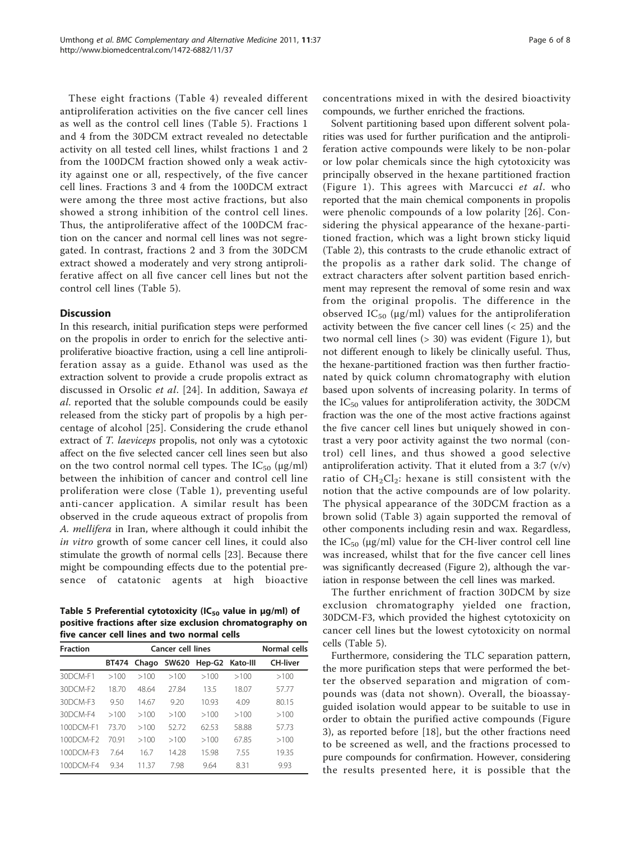These eight fractions (Table [4](#page-4-0)) revealed different antiproliferation activities on the five cancer cell lines as well as the control cell lines (Table 5). Fractions 1 and 4 from the 30DCM extract revealed no detectable activity on all tested cell lines, whilst fractions 1 and 2 from the 100DCM fraction showed only a weak activity against one or all, respectively, of the five cancer cell lines. Fractions 3 and 4 from the 100DCM extract were among the three most active fractions, but also showed a strong inhibition of the control cell lines. Thus, the antiproliferative affect of the 100DCM fraction on the cancer and normal cell lines was not segregated. In contrast, fractions 2 and 3 from the 30DCM extract showed a moderately and very strong antiproliferative affect on all five cancer cell lines but not the control cell lines (Table 5).

#### **Discussion**

In this research, initial purification steps were performed on the propolis in order to enrich for the selective antiproliferative bioactive fraction, using a cell line antiproliferation assay as a guide. Ethanol was used as the extraction solvent to provide a crude propolis extract as discussed in Orsolic et al. [[24](#page-7-0)]. In addition, Sawaya et al. reported that the soluble compounds could be easily released from the sticky part of propolis by a high percentage of alcohol [\[25](#page-7-0)]. Considering the crude ethanol extract of T. laeviceps propolis, not only was a cytotoxic affect on the five selected cancer cell lines seen but also on the two control normal cell types. The  $IC_{50}$  ( $\mu$ g/ml) between the inhibition of cancer and control cell line proliferation were close (Table [1\)](#page-3-0), preventing useful anti-cancer application. A similar result has been observed in the crude aqueous extract of propolis from A. mellifera in Iran, where although it could inhibit the in vitro growth of some cancer cell lines, it could also stimulate the growth of normal cells [[23\]](#page-7-0). Because there might be compounding effects due to the potential presence of catatonic agents at high bioactive

Table 5 Preferential cytotoxicity (IC $_{50}$  value in  $\mu$ g/ml) of positive fractions after size exclusion chromatography on five cancer cell lines and two normal cells

| <b>Fraction</b> | <b>Cancer cell lines</b> |       |                   |                 |       | Normal cells    |
|-----------------|--------------------------|-------|-------------------|-----------------|-------|-----------------|
|                 |                          |       | BT474 Chago SW620 | Hep-G2 Kato-III |       | <b>CH-liver</b> |
| 30DCM-F1        | >100                     | >100  | >100              | >100            | >100  | >100            |
| 30DCM-F2        | 18.70                    | 48.64 | 27.84             | 13.5            | 18.07 | 57.77           |
| 30DCM-F3        | 9.50                     | 14.67 | 920               | 10.93           | 4.09  | 80.15           |
| 30DCM-F4        | >100                     | >100  | >100              | >100            | >100  | >100            |
| 100DCM-F1       | 7370                     | >100  | 52.72             | 62.53           | 58.88 | 57.73           |
| 100DCM-F2       | 7091                     | >100  | >100              | >100            | 67.85 | >100            |
| 100DCM-E3       | 7.64                     | 16.7  | 14.28             | 15.98           | 7.55  | 19.35           |
| 100DCM-F4       | 934                      | 11 37 | 798               | 9.64            | 8.31  | 9.93            |

concentrations mixed in with the desired bioactivity compounds, we further enriched the fractions.

Solvent partitioning based upon different solvent polarities was used for further purification and the antiproliferation active compounds were likely to be non-polar or low polar chemicals since the high cytotoxicity was principally observed in the hexane partitioned fraction (Figure [1\)](#page-4-0). This agrees with Marcucci et al. who reported that the main chemical components in propolis were phenolic compounds of a low polarity [[26](#page-7-0)]. Considering the physical appearance of the hexane-partitioned fraction, which was a light brown sticky liquid (Table [2\)](#page-3-0), this contrasts to the crude ethanolic extract of the propolis as a rather dark solid. The change of extract characters after solvent partition based enrichment may represent the removal of some resin and wax from the original propolis. The difference in the observed  $IC_{50}$  (µg/ml) values for the antiproliferation activity between the five cancer cell lines (< 25) and the two normal cell lines (> 30) was evident (Figure [1\)](#page-4-0), but not different enough to likely be clinically useful. Thus, the hexane-partitioned fraction was then further fractionated by quick column chromatography with elution based upon solvents of increasing polarity. In terms of the  $IC_{50}$  values for antiproliferation activity, the 30DCM fraction was the one of the most active fractions against the five cancer cell lines but uniquely showed in contrast a very poor activity against the two normal (control) cell lines, and thus showed a good selective antiproliferation activity. That it eluted from a 3:7  $(v/v)$ ratio of  $CH_2Cl_2$ : hexane is still consistent with the notion that the active compounds are of low polarity. The physical appearance of the 30DCM fraction as a brown solid (Table [3\)](#page-4-0) again supported the removal of other components including resin and wax. Regardless, the  $IC_{50}$  (µg/ml) value for the CH-liver control cell line was increased, whilst that for the five cancer cell lines was significantly decreased (Figure [2](#page-4-0)), although the variation in response between the cell lines was marked.

The further enrichment of fraction 30DCM by size exclusion chromatography yielded one fraction, 30DCM-F3, which provided the highest cytotoxicity on cancer cell lines but the lowest cytotoxicity on normal cells (Table 5).

Furthermore, considering the TLC separation pattern, the more purification steps that were performed the better the observed separation and migration of compounds was (data not shown). Overall, the bioassayguided isolation would appear to be suitable to use in order to obtain the purified active compounds (Figure [3\)](#page-6-0), as reported before [[18\]](#page-7-0), but the other fractions need to be screened as well, and the fractions processed to pure compounds for confirmation. However, considering the results presented here, it is possible that the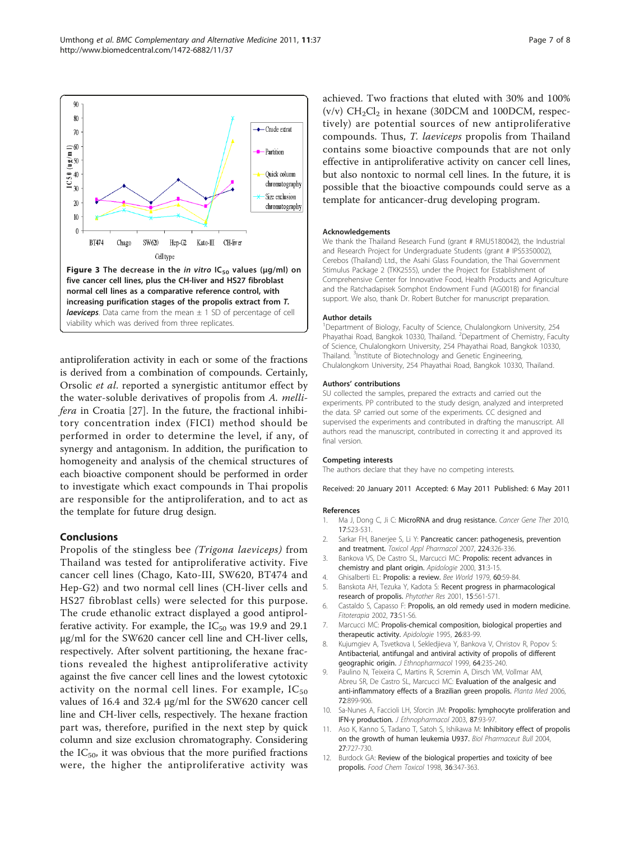<span id="page-6-0"></span>

normal cell lines as a comparative reference control, with increasing purification stages of the propolis extract from T. **laeviceps**. Data came from the mean  $\pm$  1 SD of percentage of cell viability which was derived from three replicates.

antiproliferation activity in each or some of the fractions is derived from a combination of compounds. Certainly, Orsolic et al. reported a synergistic antitumor effect by the water-soluble derivatives of propolis from A. mellifera in Croatia [[27\]](#page-7-0). In the future, the fractional inhibitory concentration index (FICI) method should be performed in order to determine the level, if any, of synergy and antagonism. In addition, the purification to homogeneity and analysis of the chemical structures of each bioactive component should be performed in order to investigate which exact compounds in Thai propolis are responsible for the antiproliferation, and to act as the template for future drug design.

#### Conclusions

Propolis of the stingless bee (Trigona laeviceps) from Thailand was tested for antiproliferative activity. Five cancer cell lines (Chago, Kato-III, SW620, BT474 and Hep-G2) and two normal cell lines (CH-liver cells and HS27 fibroblast cells) were selected for this purpose. The crude ethanolic extract displayed a good antiprolferative activity. For example, the  $IC_{50}$  was 19.9 and 29.1 μg/ml for the SW620 cancer cell line and CH-liver cells, respectively. After solvent partitioning, the hexane fractions revealed the highest antiproliferative activity against the five cancer cell lines and the lowest cytotoxic activity on the normal cell lines. For example,  $IC_{50}$ values of 16.4 and 32.4 μg/ml for the SW620 cancer cell line and CH-liver cells, respectively. The hexane fraction part was, therefore, purified in the next step by quick column and size exclusion chromatography. Considering the  $IC_{50}$ , it was obvious that the more purified fractions were, the higher the antiproliferative activity was achieved. Two fractions that eluted with 30% and 100% (v/v)  $CH<sub>2</sub>Cl<sub>2</sub>$  in hexane (30DCM and 100DCM, respectively) are potential sources of new antiproliferative compounds. Thus, T. laeviceps propolis from Thailand contains some bioactive compounds that are not only effective in antiproliferative activity on cancer cell lines, but also nontoxic to normal cell lines. In the future, it is possible that the bioactive compounds could serve as a template for anticancer-drug developing program.

#### Acknowledgements

We thank the Thailand Research Fund (grant # RMU5180042), the Industrial and Research Project for Undergraduate Students (grant # IPS5350002), Cerebos (Thailand) Ltd., the Asahi Glass Foundation, the Thai Government Stimulus Package 2 (TKK2555), under the Project for Establishment of Comprehensive Center for Innovative Food, Health Products and Agriculture and the Ratchadapisek Somphot Endowment Fund (AG001B) for financial support. We also, thank Dr. Robert Butcher for manuscript preparation.

#### Author details

<sup>1</sup>Department of Biology, Faculty of Science, Chulalongkorn University, 254 Phayathai Road, Bangkok 10330, Thailand. <sup>2</sup>Department of Chemistry, Faculty of Science, Chulalongkorn University, 254 Phayathai Road, Bangkok 10330, Thailand. <sup>3</sup>Institute of Biotechnology and Genetic Engineering, Chulalongkorn University, 254 Phayathai Road, Bangkok 10330, Thailand.

#### Authors' contributions

SU collected the samples, prepared the extracts and carried out the experiments. PP contributed to the study design, analyzed and interpreted the data. SP carried out some of the experiments. CC designed and supervised the experiments and contributed in drafting the manuscript. All authors read the manuscript, contributed in correcting it and approved its final version.

#### Competing interests

The authors declare that they have no competing interests.

Received: 20 January 2011 Accepted: 6 May 2011 Published: 6 May 2011

#### References

- 1. Ma J, Dong C, Ji C: [MicroRNA and drug resistance.](http://www.ncbi.nlm.nih.gov/pubmed/20467450?dopt=Abstract) Cancer Gene Ther 2010, 17:523-531.
- 2. Sarkar FH, Banerjee S, Li Y: [Pancreatic cancer: pathogenesis, prevention](http://www.ncbi.nlm.nih.gov/pubmed/17174370?dopt=Abstract) [and treatment.](http://www.ncbi.nlm.nih.gov/pubmed/17174370?dopt=Abstract) Toxicol Appl Pharmacol 2007, 224:326-336.
- 3. Bankova VS, De Castro SL, Marcucci MC: Propolis: recent advances in chemistry and plant origin. Apidologie 2000, 31:3-15.
- 4. Ghisalberti EL: Propolis: a review. Bee World 1979, 60:59-84
- 5. Banskota AH, Tezuka Y, Kadota S: [Recent progress in pharmacological](http://www.ncbi.nlm.nih.gov/pubmed/11746834?dopt=Abstract) [research of propolis.](http://www.ncbi.nlm.nih.gov/pubmed/11746834?dopt=Abstract) Phytother Res 2001, 15:561-571.
- 6. Castaldo S, Capasso F: [Propolis, an old remedy used in modern medicine.](http://www.ncbi.nlm.nih.gov/pubmed/12495704?dopt=Abstract) Fitoterapia 2002, 73:S1-S6.
- 7. Marcucci MC: Propolis-chemical composition, biological properties and therapeutic activity. Apidologie 1995, 26:83-99.
- 8. Kujumgiev A, Tsvetkova I, Sekledjieva Y, Bankova V, Christov R, Popov S: [Antibacterial, antifungal and antiviral activity of propolis of different](http://www.ncbi.nlm.nih.gov/pubmed/10363838?dopt=Abstract) [geographic origin.](http://www.ncbi.nlm.nih.gov/pubmed/10363838?dopt=Abstract) J Ethnopharmacol 1999, 64:235-240.
- 9. Paulino N, Teixeira C, Martins R, Scremin A, Dirsch VM, Vollmar AM, Abreu SR, De Castro SL, Marcucci MC: [Evaluation of the analgesic and](http://www.ncbi.nlm.nih.gov/pubmed/16902858?dopt=Abstract) [anti-inflammatory effects of a Brazilian green propolis.](http://www.ncbi.nlm.nih.gov/pubmed/16902858?dopt=Abstract) Planta Med 2006, 72:899-906.
- 10. Sa-Nunes A, Faccioli LH, Sforcin JM: [Propolis: lymphocyte proliferation and](http://www.ncbi.nlm.nih.gov/pubmed/12787960?dopt=Abstract) IFN-γ [production.](http://www.ncbi.nlm.nih.gov/pubmed/12787960?dopt=Abstract) J Ethnopharmacol 2003, 87:93-97.
- 11. Aso K, Kanno S, Tadano T, Satoh S, Ishikawa M: Inhibitory effect of propolis on the growth of human leukemia U937. Biol Pharmaceut Bull 2004, 27:727-730.
- 12. Burdock GA: [Review of the biological properties and toxicity of bee](http://www.ncbi.nlm.nih.gov/pubmed/9651052?dopt=Abstract) [propolis.](http://www.ncbi.nlm.nih.gov/pubmed/9651052?dopt=Abstract) Food Chem Toxicol 1998, 36:347-363.